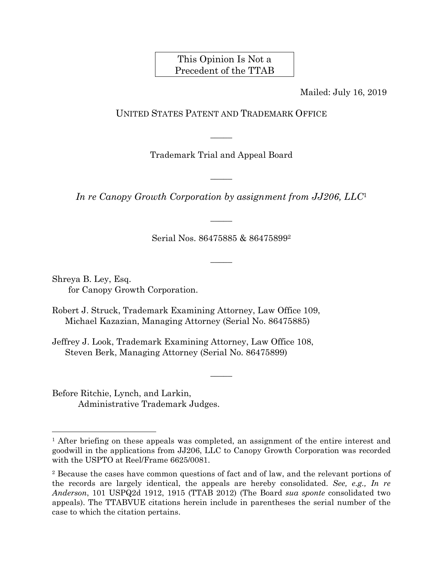## This Opinion Is Not a Precedent of the TTAB

Mailed: July 16, 2019

## UNITED STATES PATENT AND TRADEMARK OFFICE

Trademark Trial and Appeal Board

 $\overline{\phantom{a}}$ 

 $\overline{\phantom{a}}$ 

*In re Canopy Growth Corporation by assignment from JJ206, LLC*<sup>1</sup>

 $\overline{\phantom{a}}$ 

Serial Nos. 86475885 & 864758992

 $\overline{\phantom{a}}$ 

Shreya B. Ley, Esq. for Canopy Growth Corporation.

Robert J. Struck, Trademark Examining Attorney, Law Office 109, Michael Kazazian, Managing Attorney (Serial No. 86475885)

Jeffrey J. Look, Trademark Examining Attorney, Law Office 108, Steven Berk, Managing Attorney (Serial No. 86475899)

Before Ritchie, Lynch, and Larkin, Administrative Trademark Judges.

1

 $\overline{\phantom{a}}$ 

<sup>&</sup>lt;sup>1</sup> After briefing on these appeals was completed, an assignment of the entire interest and goodwill in the applications from JJ206, LLC to Canopy Growth Corporation was recorded with the USPTO at Reel/Frame 6625/0081.

<sup>2</sup> Because the cases have common questions of fact and of law, and the relevant portions of the records are largely identical, the appeals are hereby consolidated. *See, e.g., In re Anderson*, 101 USPQ2d 1912, 1915 (TTAB 2012) (The Board *sua sponte* consolidated two appeals). The TTABVUE citations herein include in parentheses the serial number of the case to which the citation pertains.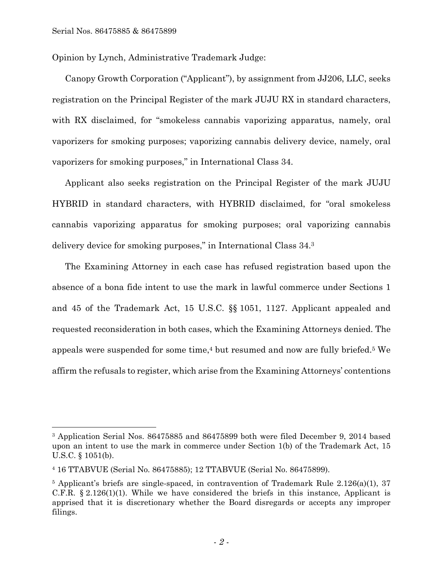Opinion by Lynch, Administrative Trademark Judge:

Canopy Growth Corporation ("Applicant"), by assignment from JJ206, LLC, seeks registration on the Principal Register of the mark JUJU RX in standard characters, with RX disclaimed, for "smokeless cannabis vaporizing apparatus, namely, oral vaporizers for smoking purposes; vaporizing cannabis delivery device, namely, oral vaporizers for smoking purposes," in International Class 34.

Applicant also seeks registration on the Principal Register of the mark JUJU HYBRID in standard characters, with HYBRID disclaimed, for "oral smokeless cannabis vaporizing apparatus for smoking purposes; oral vaporizing cannabis delivery device for smoking purposes," in International Class 34.3

The Examining Attorney in each case has refused registration based upon the absence of a bona fide intent to use the mark in lawful commerce under Sections 1 and 45 of the Trademark Act, 15 U.S.C. §§ 1051, 1127. Applicant appealed and requested reconsideration in both cases, which the Examining Attorneys denied. The appeals were suspended for some time,<sup>4</sup> but resumed and now are fully briefed.<sup>5</sup> We affirm the refusals to register, which arise from the Examining Attorneys' contentions

<sup>3</sup> Application Serial Nos. 86475885 and 86475899 both were filed December 9, 2014 based upon an intent to use the mark in commerce under Section 1(b) of the Trademark Act, 15 U.S.C. § 1051(b).

<sup>4 16</sup> TTABVUE (Serial No. 86475885); 12 TTABVUE (Serial No. 86475899).

<sup>5</sup> Applicant's briefs are single-spaced, in contravention of Trademark Rule 2.126(a)(1), 37 C.F.R. § 2.126(1)(1). While we have considered the briefs in this instance, Applicant is apprised that it is discretionary whether the Board disregards or accepts any improper filings.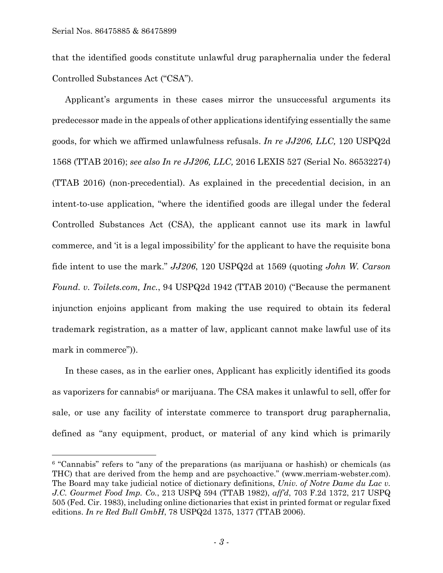that the identified goods constitute unlawful drug paraphernalia under the federal Controlled Substances Act ("CSA").

Applicant's arguments in these cases mirror the unsuccessful arguments its predecessor made in the appeals of other applications identifying essentially the same goods, for which we affirmed unlawfulness refusals. *In re JJ206, LLC,* 120 USPQ2d 1568 (TTAB 2016); *see also In re JJ206, LLC,* 2016 LEXIS 527 (Serial No. 86532274) (TTAB 2016) (non-precedential). As explained in the precedential decision, in an intent-to-use application, "where the identified goods are illegal under the federal Controlled Substances Act (CSA), the applicant cannot use its mark in lawful commerce, and 'it is a legal impossibility' for the applicant to have the requisite bona fide intent to use the mark." *JJ206*, 120 USPQ2d at 1569 (quoting *John W. Carson Found. v. Toilets.com, Inc.*, 94 USPQ2d 1942 (TTAB 2010) ("Because the permanent injunction enjoins applicant from making the use required to obtain its federal trademark registration, as a matter of law, applicant cannot make lawful use of its mark in commerce")).

In these cases, as in the earlier ones, Applicant has explicitly identified its goods as vaporizers for cannabis6 or marijuana. The CSA makes it unlawful to sell, offer for sale, or use any facility of interstate commerce to transport drug paraphernalia, defined as "any equipment, product, or material of any kind which is primarily

<sup>6 &</sup>quot;Cannabis" refers to "any of the preparations (as marijuana or hashish) or chemicals (as THC) that are derived from the hemp and are psychoactive." (www.merriam-webster.com). The Board may take judicial notice of dictionary definitions, *Univ. of Notre Dame du Lac v. J.C. Gourmet Food Imp. Co.*, 213 USPQ 594 (TTAB 1982), *aff'd*, 703 F.2d 1372, 217 USPQ 505 (Fed. Cir. 1983), including online dictionaries that exist in printed format or regular fixed editions. *In re Red Bull GmbH*, 78 USPQ2d 1375, 1377 (TTAB 2006).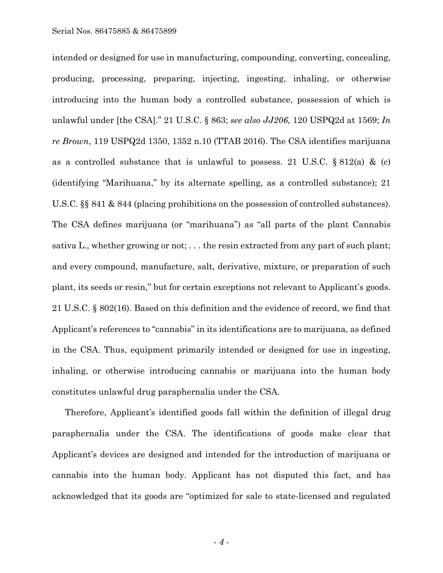intended or designed for use in manufacturing, compounding, converting, concealing, producing, processing, preparing, injecting, ingesting, inhaling, or otherwise introducing into the human body a controlled substance, possession of which is unlawful under [the CSA]." 21 U.S.C. § 863; *see also JJ206,* 120 USPQ2d at 1569; *In re Brown*, 119 USPQ2d 1350, 1352 n.10 (TTAB 2016). The CSA identifies marijuana as a controlled substance that is unlawful to possess. 21 U.S.C. § 812(a) & (c) (identifying "Marihuana," by its alternate spelling, as a controlled substance); 21 U.S.C. §§ 841 & 844 (placing prohibitions on the possession of controlled substances). The CSA defines marijuana (or "marihuana") as "all parts of the plant Cannabis sativa L., whether growing or not; . . . the resin extracted from any part of such plant; and every compound, manufacture, salt, derivative, mixture, or preparation of such plant, its seeds or resin," but for certain exceptions not relevant to Applicant's goods. 21 U.S.C. § 802(16). Based on this definition and the evidence of record, we find that Applicant's references to "cannabis" in its identifications are to marijuana, as defined in the CSA. Thus, equipment primarily intended or designed for use in ingesting, inhaling, or otherwise introducing cannabis or marijuana into the human body constitutes unlawful drug paraphernalia under the CSA.

Therefore, Applicant's identified goods fall within the definition of illegal drug paraphernalia under the CSA. The identifications of goods make clear that Applicant's devices are designed and intended for the introduction of marijuana or cannabis into the human body. Applicant has not disputed this fact, and has acknowledged that its goods are "optimized for sale to state-licensed and regulated

- *4* -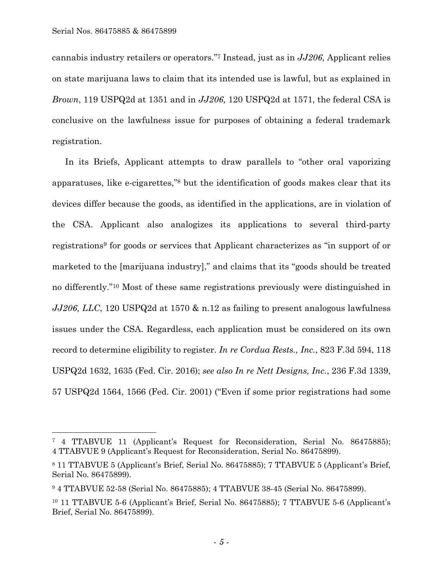cannabis industry retailers or operators."7 Instead, just as in *JJ206,* Applicant relies on state marijuana laws to claim that its intended use is lawful, but as explained in *Brown*, 119 USPQ2d at 1351 and in *JJ206,* 120 USPQ2d at 1571, the federal CSA is conclusive on the lawfulness issue for purposes of obtaining a federal trademark registration.

In its Briefs, Applicant attempts to draw parallels to "other oral vaporizing apparatuses, like e-cigarettes,"8 but the identification of goods makes clear that its devices differ because the goods, as identified in the applications, are in violation of the CSA. Applicant also analogizes its applications to several third-party registrations9 for goods or services that Applicant characterizes as "in support of or marketed to the [marijuana industry]," and claims that its "goods should be treated no differently."10 Most of these same registrations previously were distinguished in *JJ206, LLC*, 120 USPQ2d at 1570 & n.12 as failing to present analogous lawfulness issues under the CSA. Regardless, each application must be considered on its own record to determine eligibility to register. *In re Cordua Rests., Inc.*, 823 F.3d 594, 118 USPQ2d 1632, 1635 (Fed. Cir. 2016); *see also In re Nett Designs, Inc.*, 236 F.3d 1339, 57 USPQ2d 1564, 1566 (Fed. Cir. 2001) ("Even if some prior registrations had some

<sup>7 4</sup> TTABVUE 11 (Applicant's Request for Reconsideration, Serial No. 86475885); 4 TTABVUE 9 (Applicant's Request for Reconsideration, Serial No. 86475899).

<sup>8 11</sup> TTABVUE 5 (Applicant's Brief, Serial No. 86475885); 7 TTABVUE 5 (Applicant's Brief, Serial No. 86475899).

<sup>9 4</sup> TTABVUE 52-58 (Serial No. 86475885); 4 TTABVUE 38-45 (Serial No. 86475899).

<sup>10 11</sup> TTABVUE 5-6 (Applicant's Brief, Serial No. 86475885); 7 TTABVUE 5-6 (Applicant's Brief, Serial No. 86475899).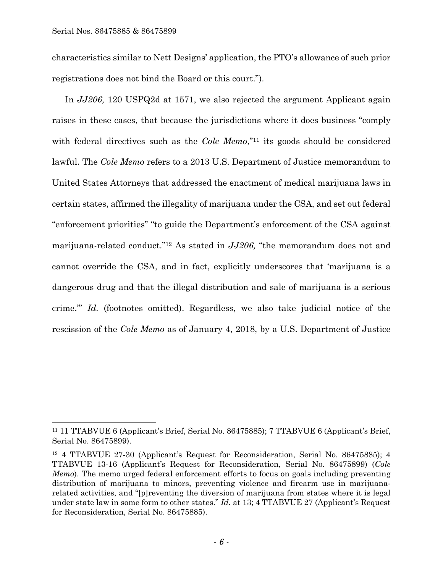characteristics similar to Nett Designs' application, the PTO's allowance of such prior registrations does not bind the Board or this court.").

In *JJ206,* 120 USPQ2d at 1571, we also rejected the argument Applicant again raises in these cases, that because the jurisdictions where it does business "comply with federal directives such as the *Cole Memo*,"<sup>11</sup> its goods should be considered lawful. The *Cole Memo* refers to a 2013 U.S. Department of Justice memorandum to United States Attorneys that addressed the enactment of medical marijuana laws in certain states, affirmed the illegality of marijuana under the CSA, and set out federal "enforcement priorities" "to guide the Department's enforcement of the CSA against marijuana-related conduct."12 As stated in *JJ206,* "the memorandum does not and cannot override the CSA, and in fact, explicitly underscores that 'marijuana is a dangerous drug and that the illegal distribution and sale of marijuana is a serious crime.'" *Id.* (footnotes omitted). Regardless, we also take judicial notice of the rescission of the *Cole Memo* as of January 4, 2018, by a U.S. Department of Justice

<sup>11 11</sup> TTABVUE 6 (Applicant's Brief, Serial No. 86475885); 7 TTABVUE 6 (Applicant's Brief, Serial No. 86475899).

<sup>12 4</sup> TTABVUE 27-30 (Applicant's Request for Reconsideration, Serial No. 86475885); 4 TTABVUE 13-16 (Applicant's Request for Reconsideration, Serial No. 86475899) (*Cole Memo*). The memo urged federal enforcement efforts to focus on goals including preventing distribution of marijuana to minors, preventing violence and firearm use in marijuanarelated activities, and "[p]reventing the diversion of marijuana from states where it is legal under state law in some form to other states." *Id.* at 13; 4 TTABVUE 27 (Applicant's Request for Reconsideration, Serial No. 86475885).